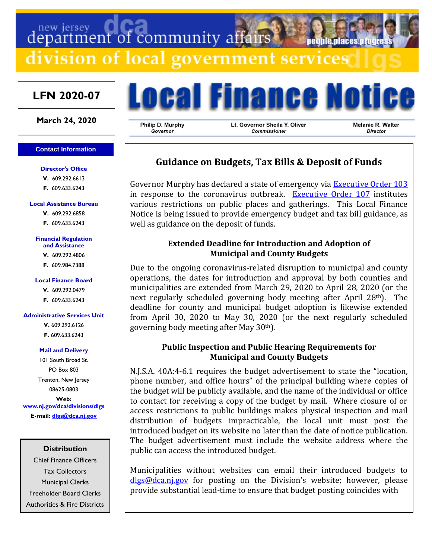# department of community affairs neonie niaces nim division of local government services

## **LFN 2020-07**

**March 24, 2020**

#### **Contact Information**

#### **Director's Office**

**V.** 609.292.6613 **F.** 609.633.6243

#### **Local Assistance Bureau**

**V.** 609.292.6858 **F.** 609.633.6243

#### **Financial Regulation and Assistance**

**V.** 609.292.4806

**F.** 609.984.7388

#### **Local Finance Board**

**V.** 609.292.0479 **F.** 609.633.6243

#### **Administrative Services Unit**

**V.** 609.292.6126 **F.** 609.633.6243

#### **Mail and Delivery**

101 South Broad St. PO Box 803 Trenton, New Jersey 08625-0803 **Web: [www.nj.gov/dca/divisions/dlgs](http://www.nj.gov/dca/divisions/dlgs) E-mail: [dlgs@dca.nj.gov](mailto:dlgs@dca.nj.gov)**

### **Distribution**

Chief Finance Officers Tax Collectors Municipal Clerks Freeholder Board Clerks Authorities & Fire Districts



Philip D. Murphy Governor

Lt. Governor Sheila Y. Oliver Commissioner

**Melanie R. Walter** Director

## **Guidance on Budgets, Tax Bills & Deposit of Funds**

Governor Murphy has declared a state of emergency via **Executive Order 103** in response to the coronavirus outbreak. [Executive Order 107](https://nj.gov/infobank/eo/056murphy/pdf/EO-107.pdf) institutes various restrictions on public places and gatherings. This Local Finance Notice is being issued to provide emergency budget and tax bill guidance, as well as guidance on the deposit of funds.

## **Extended Deadline for Introduction and Adoption of Municipal and County Budgets**

Due to the ongoing coronavirus-related disruption to municipal and county operations, the dates for introduction and approval by both counties and municipalities are extended from March 29, 2020 to April 28, 2020 (or the next regularly scheduled governing body meeting after April 28th). The deadline for county and municipal budget adoption is likewise extended from April 30, 2020 to May 30, 2020 (or the next regularly scheduled governing body meeting after May 30th).

## **Public Inspection and Public Hearing Requirements for Municipal and County Budgets**

N.J.S.A. 40A:4-6.1 requires the budget advertisement to state the "location, phone number, and office hours" of the principal building where copies of the budget will be publicly available, and the name of the individual or office to contact for receiving a copy of the budget by mail. Where closure of or access restrictions to public buildings makes physical inspection and mail distribution of budgets impracticable, the local unit must post the introduced budget on its website no later than the date of notice publication. The budget advertisement must include the website address where the public can access the introduced budget.

Municipalities without websites can email their introduced budgets to [dlgs@dca.nj.gov](mailto:dlgs@dca.nj.gov) for posting on the Division's website; however, please provide substantial lead-time to ensure that budget posting coincides with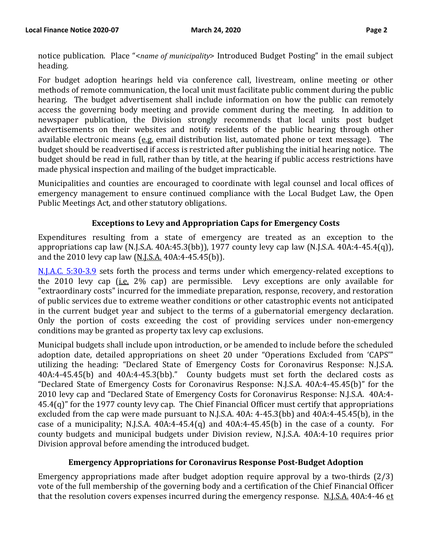notice publication. Place "<*name of municipality*> Introduced Budget Posting" in the email subject heading.

For budget adoption hearings held via conference call, livestream, online meeting or other methods of remote communication, the local unit must facilitate public comment during the public hearing. The budget advertisement shall include information on how the public can remotely access the governing body meeting and provide comment during the meeting. In addition to newspaper publication, the Division strongly recommends that local units post budget advertisements on their websites and notify residents of the public hearing through other available electronic means (e.g. email distribution list, automated phone or text message). The budget should be readvertised if access is restricted after publishing the initial hearing notice. The budget should be read in full, rather than by title, at the hearing if public access restrictions have made physical inspection and mailing of the budget impracticable.

Municipalities and counties are encouraged to coordinate with legal counsel and local offices of emergency management to ensure continued compliance with the Local Budget Law, the Open Public Meetings Act, and other statutory obligations.

## **Exceptions to Levy and Appropriation Caps for Emergency Costs**

Expenditures resulting from a state of emergency are treated as an exception to the appropriations cap law (N.J.S.A. 40A:45.3(bb)), 1977 county levy cap law (N.J.S.A. 40A:4-45.4(q)), and the 2010 levy cap law (N.J.S.A. 40A:4-45.45(b)).

[N.J.A.C. 5:30-3.9](https://www.nj.gov/dca/divisions/dlgs/resources/rules_docs/5_30/njac_5303.pdf) sets forth the process and terms under which emergency-related exceptions to the 2010 levy cap (i.e. 2% cap) are permissible. Levy exceptions are only available for "extraordinary costs" incurred for the immediate preparation, response, recovery, and restoration of public services due to extreme weather conditions or other catastrophic events not anticipated in the current budget year and subject to the terms of a gubernatorial emergency declaration. Only the portion of costs exceeding the cost of providing services under non-emergency conditions may be granted as property tax levy cap exclusions.

Municipal budgets shall include upon introduction, or be amended to include before the scheduled adoption date, detailed appropriations on sheet 20 under "Operations Excluded from 'CAPS'" utilizing the heading: "Declared State of Emergency Costs for Coronavirus Response: N.J.S.A. 40A:4-45.45(b) and 40A:4-45.3(bb)." County budgets must set forth the declared costs as "Declared State of Emergency Costs for Coronavirus Response: N.J.S.A. 40A:4-45.45(b)" for the 2010 levy cap and "Declared State of Emergency Costs for Coronavirus Response: N.J.S.A. 40A:4- 45.4(q)" for the 1977 county levy cap. The Chief Financial Officer must certify that appropriations excluded from the cap were made pursuant to N.J.S.A. 40A: 4-45.3(bb) and 40A:4-45.45(b), in the case of a municipality; N.J.S.A. 40A:4-45.4(q) and 40A:4-45.45(b) in the case of a county. For county budgets and municipal budgets under Division review, N.J.S.A. 40A:4-10 requires prior Division approval before amending the introduced budget.

## **Emergency Appropriations for Coronavirus Response Post-Budget Adoption**

Emergency appropriations made after budget adoption require approval by a two-thirds (2/3) vote of the full membership of the governing body and a certification of the Chief Financial Officer that the resolution covers expenses incurred during the emergency response. N.J.S.A. 40A:4-46 et